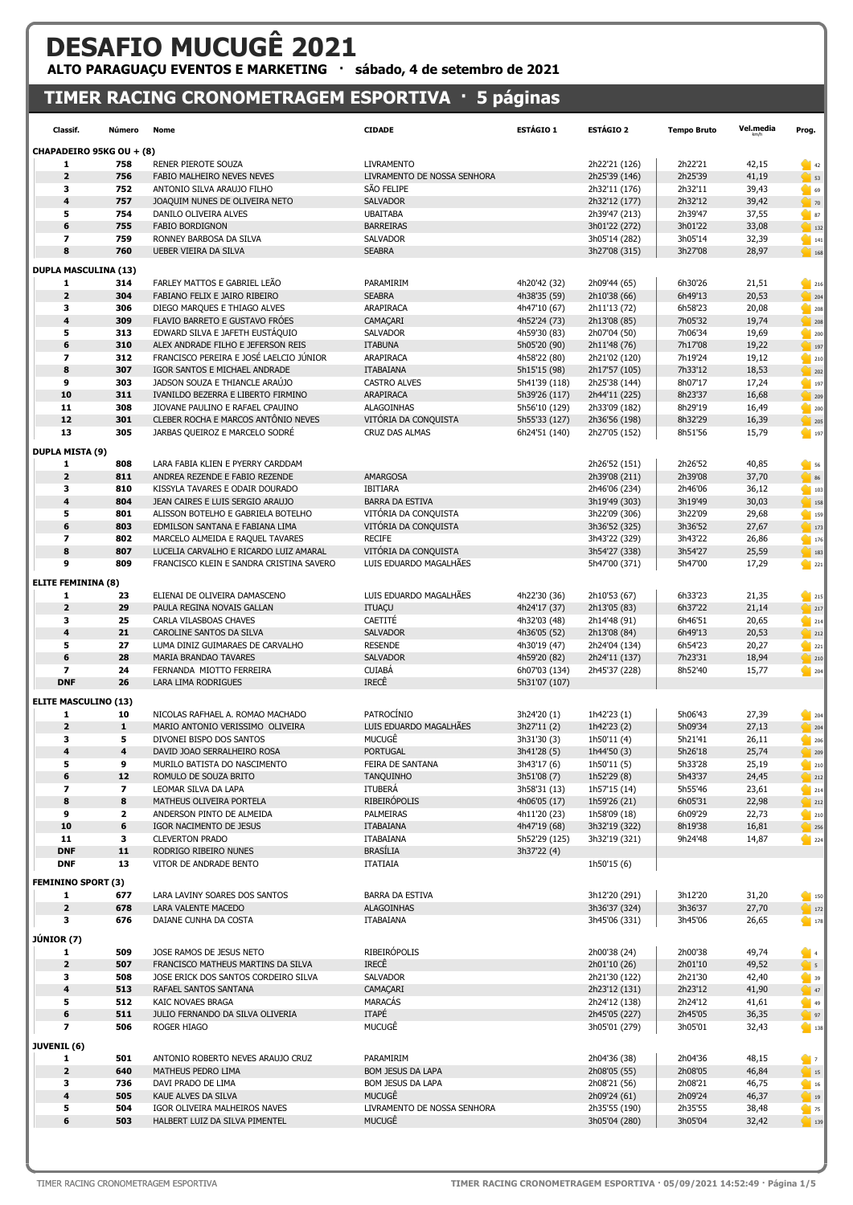## DESAFIO MUCUGÊ 2021 ALTO PARAGUAÇU EVENTOS E MARKETING · sábado, 4 de setembro de 2021

## TIMER RACING CRONOMETRAGEM ESPORTIVA · 5 páginas

| Classif.                     | Número                  | Nome                                                                               | <b>CIDADE</b>                                  | ESTÁGIO 1                     | <b>ESTÁGIO 2</b>             | <b>Tempo Bruto</b> | Vel.media      | Prog.                                                                    |
|------------------------------|-------------------------|------------------------------------------------------------------------------------|------------------------------------------------|-------------------------------|------------------------------|--------------------|----------------|--------------------------------------------------------------------------|
| CHAPADEIRO 95KG OU + (8)     |                         |                                                                                    |                                                |                               |                              |                    |                |                                                                          |
| 1                            | 758                     | RENER PIEROTE SOUZA                                                                | <b>LIVRAMENTO</b>                              |                               | 2h22'21 (126)                | 2h22'21            | 42,15          | $\bigcirc$ 42                                                            |
| $\overline{\mathbf{2}}$      | 756                     | FABIO MALHEIRO NEVES NEVES                                                         | LIVRAMENTO DE NOSSA SENHORA                    |                               | 2h25'39 (146)                | 2h25'39            | 41,19          | $\bigcirc$ 53                                                            |
| 3                            | 752                     | ANTONIO SILVA ARAUJO FILHO                                                         | SÃO FELIPE                                     |                               | 2h32'11 (176)                | 2h32'11            | 39,43          | 69                                                                       |
| 4                            | 757                     | JOAQUIM NUNES DE OLIVEIRA NETO                                                     | <b>SALVADOR</b>                                |                               | 2h32'12 (177)                | 2h32'12            | 39,42          | $\sim$ 70                                                                |
| 5                            | 754                     | DANILO OLIVEIRA ALVES                                                              | <b>UBAITABA</b>                                |                               | 2h39'47 (213)                | 2h39'47            | 37,55          | 87                                                                       |
| 6                            | 755                     | <b>FABIO BORDIGNON</b>                                                             | <b>BARREIRAS</b>                               |                               | 3h01'22 (272)                | 3h01'22            | 33,08          | $\Big $ 132                                                              |
| $\overline{\mathbf{z}}$      | 759                     | RONNEY BARBOSA DA SILVA                                                            | <b>SALVADOR</b>                                |                               | 3h05'14 (282)                | 3h05'14            | 32,39          | $\frac{1}{2}$ 141                                                        |
| 8                            | 760                     | UEBER VIEIRA DA SILVA                                                              | <b>SEABRA</b>                                  |                               | 3h27'08 (315)                | 3h27'08            | 28,97          | $\bigcirc$ 168                                                           |
|                              |                         |                                                                                    |                                                |                               |                              |                    |                |                                                                          |
| <b>DUPLA MASCULINA (13)</b>  |                         |                                                                                    |                                                |                               |                              |                    |                |                                                                          |
| 1<br>$\mathbf{2}$            | 314<br>304              | FARLEY MATTOS E GABRIEL LEÃO<br>FABIANO FELIX E JAIRO RIBEIRO                      | PARAMIRIM<br><b>SEABRA</b>                     | 4h20'42 (32)                  | 2h09'44 (65)                 | 6h30'26<br>6h49'13 | 21,51<br>20,53 | 216                                                                      |
| з                            | 306                     | DIEGO MARQUES E THIAGO ALVES                                                       | ARAPIRACA                                      | 4h38'35 (59)<br>4h47'10 (67)  | 2h10'38 (66)<br>2h11'13 (72) | 6h58'23            | 20,08          | $\frac{1}{204}$                                                          |
| 4                            | 309                     | FLAVIO BARRETO E GUSTAVO FRÓES                                                     | CAMAÇARI                                       | 4h52'24 (73)                  |                              | 7h05'32            | 19,74          | 208                                                                      |
| 5                            | 313                     | EDWARD SILVA E JAFETH EUSTAQUIO                                                    | <b>SALVADOR</b>                                | 4h59'30 (83)                  | 2h13'08 (85)<br>2h07'04 (50) | 7h06'34            | 19,69          | 208                                                                      |
| 6                            | 310                     | ALEX ANDRADE FILHO E JEFERSON REIS                                                 | <b>ITABUNA</b>                                 | 5h05'20 (90)                  | 2h11'48 (76)                 | 7h17'08            | 19,22          | 200<br> 197                                                              |
| $\overline{\mathbf{z}}$      | 312                     | FRANCISCO PEREIRA E JOSÉ LAELCIO JÚNIOR                                            | ARAPIRACA                                      | 4h58'22 (80)                  | 2h21'02 (120)                | 7h19'24            | 19,12          | 210                                                                      |
| 8                            | 307                     | IGOR SANTOS E MICHAEL ANDRADE                                                      | <b>ITABAIANA</b>                               | 5h15'15 (98)                  | 2h17'57 (105)                | 7h33'12            | 18,53          | 202                                                                      |
| 9                            | 303                     | JADSON SOUZA E THIANCLE ARAÚJO                                                     | <b>CASTRO ALVES</b>                            | 5h41'39 (118)                 | 2h25'38 (144)                | 8h07'17            | 17,24          | 197                                                                      |
| 10                           | 311                     | IVANILDO BEZERRA E LIBERTO FIRMINO                                                 | ARAPIRACA                                      | 5h39'26 (117)                 | 2h44'11 (225)                | 8h23'37            | 16,68          |                                                                          |
| 11                           | 308                     | JIOVANE PAULINO E RAFAEL CPAUINO                                                   | <b>ALAGOINHAS</b>                              | 5h56'10 (129)                 | 2h33'09 (182)                | 8h29'19            | 16,49          | 209<br>200                                                               |
| 12                           | 301                     | CLEBER ROCHA E MARCOS ANTÔNIO NEVES                                                | VITÓRIA DA CONQUISTA                           | 5h55'33 (127)                 | 2h36'56 (198)                | 8h32'29            | 16,39          | $\frac{1}{205}$                                                          |
| 13                           | 305                     | JARBAS QUEIROZ E MARCELO SODRÉ                                                     | <b>CRUZ DAS ALMAS</b>                          | 6h24'51 (140)                 | 2h27'05 (152)                | 8h51'56            | 15,79          | $\frac{1}{2}$ 197                                                        |
|                              |                         |                                                                                    |                                                |                               |                              |                    |                |                                                                          |
| <b>DUPLA MISTA (9)</b>       |                         |                                                                                    |                                                |                               |                              |                    |                |                                                                          |
| 1                            | 808                     | LARA FABIA KLIEN E PYERRY CARDDAM                                                  |                                                |                               | 2h26'52 (151)                | 2h26'52            | 40,85          | $\blacksquare$ 56                                                        |
| $\overline{\mathbf{2}}$      | 811                     | ANDREA REZENDE E FABIO REZENDE                                                     | <b>AMARGOSA</b>                                |                               | 2h39'08 (211)                | 2h39'08            | 37,70          | $\begin{array}{ c c c }\n\hline\n\text{36} & \text{86}\n\end{array}$     |
| 3                            | 810                     | KISSYLA TAVARES E ODAIR DOURADO                                                    | <b>IBITIARA</b>                                |                               | 2h46'06 (234)                | 2h46'06            | 36,12          | $\begin{array}{ c c c }\n\hline\n\textbf{103}\n\end{array}$              |
| 4                            | 804                     | JEAN CAIRES E LUIS SERGIO ARAUJO                                                   | <b>BARRA DA ESTIVA</b>                         |                               | 3h19'49 (303)                | 3h19'49            | 30,03          | 158                                                                      |
| 5                            | 801                     | ALISSON BOTELHO E GABRIELA BOTELHO                                                 | VITÓRIA DA CONQUISTA                           |                               | 3h22'09 (306)                | 3h22'09            | 29,68          | 159                                                                      |
| 6                            | 803                     | EDMILSON SANTANA E FABIANA LIMA                                                    | VITÓRIA DA CONQUISTA                           |                               | 3h36'52 (325)                | 3h36'52            | 27,67          | $\Big $ 173                                                              |
| $\overline{\mathbf{z}}$<br>8 | 802                     | MARCELO ALMEIDA E RAQUEL TAVARES                                                   | <b>RECIFE</b>                                  |                               | 3h43'22 (329)                | 3h43'22            | 26,86          | $\frac{1}{2}$ 176                                                        |
| 9                            | 807<br>809              | LUCELIA CARVALHO E RICARDO LUIZ AMARAL<br>FRANCISCO KLEIN E SANDRA CRISTINA SAVERO | VITÓRIA DA CONQUISTA<br>LUIS EDUARDO MAGALHÃES |                               | 3h54'27 (338)                | 3h54'27<br>5h47'00 | 25,59<br>17,29 | $\begin{array}{ c c c }\n\hline\n\text{183}\n\end{array}$                |
|                              |                         |                                                                                    |                                                |                               | 5h47'00 (371)                |                    |                | 221                                                                      |
| <b>ELITE FEMININA (8)</b>    |                         |                                                                                    |                                                |                               |                              |                    |                |                                                                          |
| 1                            | 23                      | ELIENAI DE OLIVEIRA DAMASCENO                                                      | LUIS EDUARDO MAGALHÃES                         | 4h22'30 (36)                  | 2h10'53 (67)                 | 6h33'23            | 21,35          | 215                                                                      |
| $\mathbf{2}$                 | 29                      | PAULA REGINA NOVAIS GALLAN                                                         | <b>ITUAÇU</b>                                  | 4h24'17 (37)                  | 2h13'05 (83)                 | 6h37'22            | 21,14          | $\frac{1}{217}$                                                          |
| 3                            | 25                      | CARLA VILASBOAS CHAVES                                                             | CAETITÉ                                        | 4h32'03 (48)                  | 2h14'48 (91)                 | 6h46'51            | 20,65          | 214                                                                      |
| 4                            | 21                      | CAROLINE SANTOS DA SILVA                                                           | <b>SALVADOR</b>                                | 4h36'05 (52)                  | 2h13'08 (84)                 | 6h49'13            | 20,53          | 212                                                                      |
| 5                            | 27                      | LUMA DINIZ GUIMARAES DE CARVALHO                                                   | <b>RESENDE</b>                                 | 4h30'19 (47)                  | 2h24'04 (134)                | 6h54'23            | 20,27          | 221                                                                      |
| 6                            | 28                      | MARIA BRANDAO TAVARES                                                              | <b>SALVADOR</b>                                | 4h59'20 (82)                  | 2h24'11 (137)                | 7h23'31            | 18,94          | $\frac{1}{2}$ 210                                                        |
| $\overline{\phantom{a}}$     | 24<br>26                | FERNANDA MIOTTO FERREIRA                                                           | <b>CUIABA</b><br>IRECÊ                         | 6h07'03 (134)                 | 2h45'37 (228)                | 8h52'40            | 15,77          | 204                                                                      |
| <b>DNF</b>                   |                         | LARA LIMA RODRIGUES                                                                |                                                | 5h31'07 (107)                 |                              |                    |                |                                                                          |
| <b>ELITE MASCULINO (13)</b>  |                         |                                                                                    |                                                |                               |                              |                    |                |                                                                          |
| 1                            | 10                      | NICOLAS RAFHAEL A. ROMAO MACHADO                                                   | PATROCÍNIO                                     | 3h24'20 (1)                   | 1h42'23 (1)                  | 5h06'43            | 27,39          | $\frac{1}{2}$ 204                                                        |
| $\overline{\mathbf{2}}$      | $\mathbf{1}$            | MARIO ANTONIO VERISSIMO OLIVEIRA                                                   | LUIS EDUARDO MAGALHÃES                         | 3h27'11 (2)                   | 1h42'23 (2)                  | 5h09'34            | 27,13          | $\frac{1}{2}$ 204                                                        |
| 3                            | 5                       | DIVONEI BISPO DOS SANTOS                                                           | MUCUGÊ                                         | 3h31'30 (3)                   | 1h50'11 (4)                  | 5h21'41            | 26,11          | 206                                                                      |
| $\overline{\mathbf{4}}$      | 4                       | DAVID JOAO SERRALHEIRO ROSA                                                        | <b>PORTUGAL</b>                                | 3h41'28 (5)                   | 1h44'50 (3)                  | 5h26'18            | 25,74          | 209                                                                      |
| 5                            | 9                       | MURILO BATISTA DO NASCIMENTO                                                       | FEIRA DE SANTANA                               | 3h43'17 (6)                   | 1h50'11 (5)                  | 5h33'28            | 25,19          | 210                                                                      |
| 6                            | 12                      | ROMULO DE SOUZA BRITO                                                              | <b>TANQUINHO</b>                               | 3h51'08 (7)                   | 1h52'29 (8)                  | 5h43'37            | 24,45          | 212                                                                      |
| $\overline{\phantom{a}}$     | $\overline{\mathbf{z}}$ | LEOMAR SILVA DA LAPA                                                               | ITUBERÁ                                        | 3h58'31 (13)                  | 1h57'15 (14)                 | 5h55'46            | 23,61          | 214                                                                      |
| 8                            | 8                       | MATHEUS OLIVEIRA PORTELA                                                           | <b>RIBEIRÓPOLIS</b>                            | 4h06'05 (17)                  | 1h59'26 (21)                 | 6h05'31            | 22,98          | 212                                                                      |
| 9                            | $\overline{\mathbf{2}}$ | ANDERSON PINTO DE ALMEIDA                                                          | PALMEIRAS                                      | 4h11'20 (23)                  | 1h58'09 (18)                 | 6h09'29            | 22,73          | 210                                                                      |
| 10<br>11                     | 6<br>3                  | IGOR NACIMENTO DE JESUS<br><b>CLEVERTON PRADO</b>                                  | <b>ITABAIANA</b><br>ITABAIANA                  | 4h47'19 (68)<br>5h52'29 (125) | 3h32'19 (322)                | 8h19'38<br>9h24'48 | 16,81          | 256                                                                      |
| <b>DNF</b>                   | $11$                    | RODRIGO RIBEIRO NUNES                                                              | <b>BRASÍLIA</b>                                | 3h37'22 (4)                   | 3h32'19 (321)                |                    | 14,87          | 224                                                                      |
| <b>DNF</b>                   | 13                      | VITOR DE ANDRADE BENTO                                                             | <b>ITATIAIA</b>                                |                               | 1h50'15 (6)                  |                    |                |                                                                          |
|                              |                         |                                                                                    |                                                |                               |                              |                    |                |                                                                          |
| <b>FEMININO SPORT (3)</b>    |                         |                                                                                    |                                                |                               |                              |                    |                |                                                                          |
| 1                            | 677                     | LARA LAVINY SOARES DOS SANTOS                                                      | BARRA DA ESTIVA                                |                               | 3h12'20 (291)                | 3h12'20            | 31,20          | $\begin{array}{ c c c }\n\hline\n\textbf{150}\n\end{array}$              |
| $\overline{2}$               | 678                     | LARA VALENTE MACEDO                                                                | <b>ALAGOINHAS</b>                              |                               | 3h36'37 (324)                | 3h36'37            | 27,70          | $\begin{array}{ c c c }\n\hline\n\text{172}\n\end{array}$                |
| 3                            | 676                     | DAIANE CUNHA DA COSTA                                                              | <b>ITABAIANA</b>                               |                               | 3h45'06 (331)                | 3h45'06            | 26,65          | 178                                                                      |
| <b>JÚNIOR</b> (7)            |                         |                                                                                    |                                                |                               |                              |                    |                |                                                                          |
| 1                            | 509                     | JOSE RAMOS DE JESUS NETO                                                           | RIBEIRÓPOLIS                                   |                               | 2h00'38 (24)                 | 2h00'38            | 49,74          | $\blacksquare$ 4                                                         |
| $\mathbf{2}$                 | 507                     | FRANCISCO MATHEUS MARTINS DA SILVA                                                 | IRECÊ                                          |                               | 2h01'10 (26)                 | 2h01'10            | 49,52          | $\bullet$ 5                                                              |
| 3                            | 508                     | JOSE ERICK DOS SANTOS CORDEIRO SILVA                                               | <b>SALVADOR</b>                                |                               | 2h21'30 (122)                | 2h21'30            | 42,40          | 39                                                                       |
| 4                            | 513                     | RAFAEL SANTOS SANTANA                                                              | CAMAÇARI                                       |                               | 2h23'12 (131)                | 2h23'12            | 41,90          | $\bigcirc$ 47                                                            |
| 5                            | 512                     | KAIC NOVAES BRAGA                                                                  | <b>MARACÁS</b>                                 |                               | 2h24'12 (138)                | 2h24'12            | 41,61          | 49                                                                       |
| 6                            | 511                     | JULIO FERNANDO DA SILVA OLIVERIA                                                   | <b>ITAPÉ</b>                                   |                               | 2h45'05 (227)                | 2h45'05            | 36,35          | $\frac{1}{2}$ 97                                                         |
| 7                            | 506                     | ROGER HIAGO                                                                        | MUCUGÊ                                         |                               | 3h05'01 (279)                | 3h05'01            | 32,43          | 138                                                                      |
| JUVENIL (6)                  |                         |                                                                                    |                                                |                               |                              |                    |                |                                                                          |
| 1                            | 501                     | ANTONIO ROBERTO NEVES ARAUJO CRUZ                                                  | PARAMIRIM                                      |                               | 2h04'36 (38)                 | 2h04'36            | 48,15          | $\bullet$                                                                |
| $\mathbf{2}$                 | 640                     | MATHEUS PEDRO LIMA                                                                 | <b>BOM JESUS DA LAPA</b>                       |                               | 2h08'05 (55)                 | 2h08'05            | 46,84          | $\begin{array}{ c c c }\n\hline\n\text{15}\n\end{array}$                 |
| з                            | 736                     | DAVI PRADO DE LIMA                                                                 | <b>BOM JESUS DA LAPA</b>                       |                               | 2h08'21 (56)                 | 2h08'21            | 46,75          | $\begin{array}{ c c c }\n\hline\n\textbf{16} & \textbf{16}\n\end{array}$ |
| 4                            | 505                     | KAUE ALVES DA SILVA                                                                | <b>MUCUGÊ</b>                                  |                               | 2h09'24 (61)                 | 2h09'24            | 46,37          | $\begin{array}{ c c c c c }\n\hline\n\text{19} & \text{19}\n\end{array}$ |
| 5                            | 504                     | IGOR OLIVEIRA MALHEIROS NAVES                                                      | LIVRAMENTO DE NOSSA SENHORA                    |                               | 2h35'55 (190)                | 2h35'55            | 38,48          | 75                                                                       |
| 6                            | 503                     | HALBERT LUIZ DA SILVA PIMENTEL                                                     | MUCUGÊ                                         |                               | 3h05'04 (280)                | 3h05'04            | 32,42          | $\sim$ 139                                                               |
|                              |                         |                                                                                    |                                                |                               |                              |                    |                |                                                                          |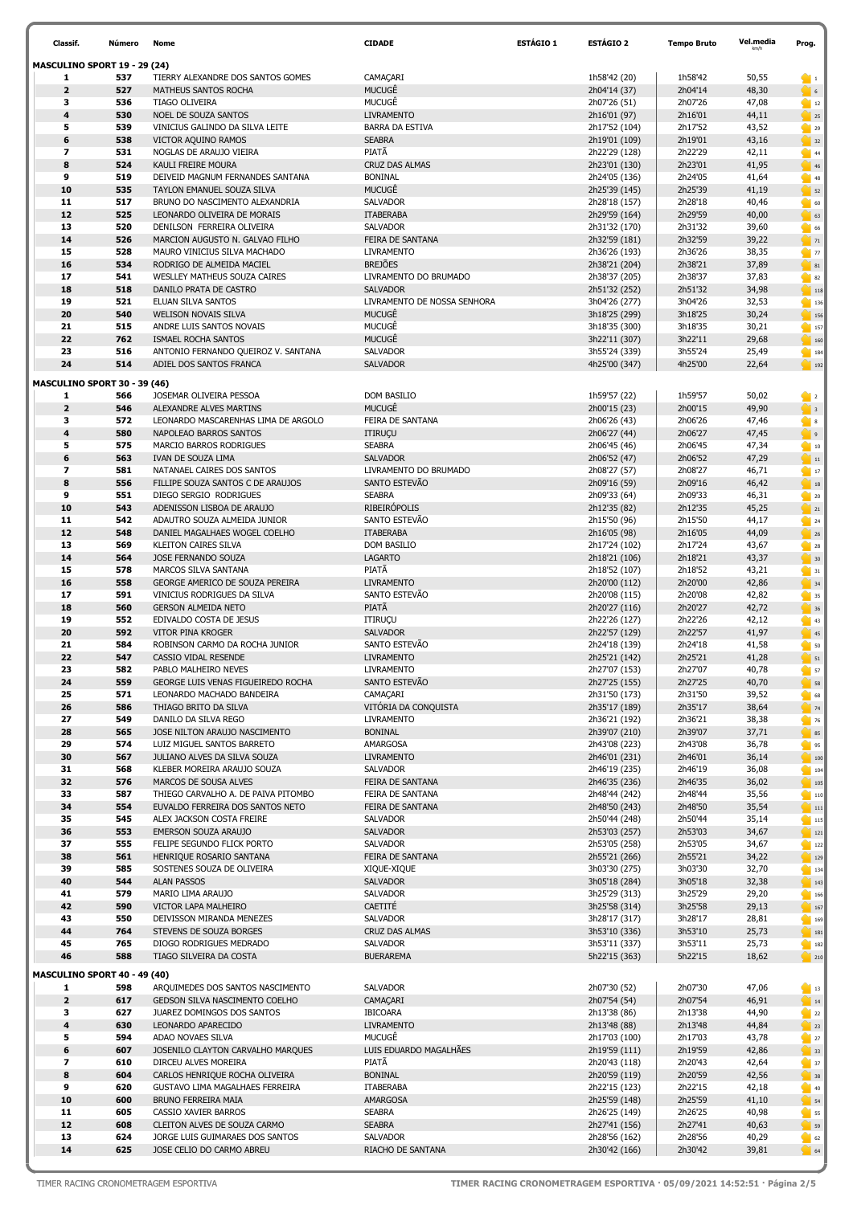| Classif.                            | Número     | Nome                                                            | <b>CIDADE</b>                           | ESTÁGIO 1 | <b>ESTÁGIO 2</b>               | <b>Tempo Bruto</b> | Vel.media      | Prog.                                                                                                                                                                  |
|-------------------------------------|------------|-----------------------------------------------------------------|-----------------------------------------|-----------|--------------------------------|--------------------|----------------|------------------------------------------------------------------------------------------------------------------------------------------------------------------------|
| MASCULINO SPORT 19 - 29 (24)        |            |                                                                 |                                         |           |                                |                    |                |                                                                                                                                                                        |
| 1                                   | 537        | TIERRY ALEXANDRE DOS SANTOS GOMES                               | CAMAÇARI                                |           | 1h58'42 (20)                   | 1h58'42            | 50,55          | $\blacksquare$                                                                                                                                                         |
| $\overline{\mathbf{2}}$             | 527        | <b>MATHEUS SANTOS ROCHA</b>                                     | MUCUGÊ                                  |           | 2h04'14 (37)                   | 2h04'14            | 48,30          |                                                                                                                                                                        |
| 3                                   | 536        | TIAGO OLIVEIRA                                                  | MUCUGÊ                                  |           | 2h07'26 (51)                   | 2h07'26            | 47,08          | $\bigcirc$ 12                                                                                                                                                          |
| 4                                   | 530        | NOEL DE SOUZA SANTOS                                            | <b>LIVRAMENTO</b>                       |           | 2h16'01 (97)                   | 2h16'01            | 44,11          | 25                                                                                                                                                                     |
| 5<br>6                              | 539        | VINICIUS GALINDO DA SILVA LEITE                                 | <b>BARRA DA ESTIVA</b>                  |           | 2h17'52 (104)                  | 2h17'52            | 43,52          | 29                                                                                                                                                                     |
| $\overline{\mathbf{z}}$             | 538<br>531 | VICTOR AQUINO RAMOS<br>NOGLAS DE ARAUJO VIEIRA                  | <b>SEABRA</b><br>PIATÃ                  |           | 2h19'01 (109)<br>2h22'29 (128) | 2h19'01<br>2h22'29 | 43,16<br>42,11 | $\frac{1}{2}$ 32<br>44                                                                                                                                                 |
| 8                                   | 524        | KAULI FREIRE MOURA                                              | <b>CRUZ DAS ALMAS</b>                   |           | 2h23'01 (130)                  | 2h23'01            | 41,95          | 46                                                                                                                                                                     |
| 9                                   | 519        | DEIVEID MAGNUM FERNANDES SANTANA                                | <b>BONINAL</b>                          |           | 2h24'05 (136)                  | 2h24'05            | 41,64          | 48                                                                                                                                                                     |
| 10                                  | 535        | TAYLON EMANUEL SOUZA SILVA                                      | MUCUGÊ                                  |           | 2h25'39 (145)                  | 2h25'39            | 41,19          | 52                                                                                                                                                                     |
| 11                                  | 517        | BRUNO DO NASCIMENTO ALEXANDRIA                                  | <b>SALVADOR</b>                         |           | 2h28'18 (157)                  | 2h28'18            | 40,46          | $\bullet$ 60                                                                                                                                                           |
| 12                                  | 525        | LEONARDO OLIVEIRA DE MORAIS                                     | <b>ITABERABA</b>                        |           | 2h29'59 (164)                  | 2h29'59            | 40,00          | $\begin{array}{ c c }\n\hline\n\end{array}$ 63                                                                                                                         |
| 13                                  | 520        | DENILSON FERREIRA OLIVEIRA                                      | SALVADOR                                |           | 2h31'32 (170)                  | 2h31'32            | 39,60          | 66                                                                                                                                                                     |
| 14                                  | 526        | MARCION AUGUSTO N. GALVAO FILHO                                 | FEIRA DE SANTANA                        |           | 2h32'59 (181)                  | 2h32'59            | 39,22          | $\bigcirc$ 71                                                                                                                                                          |
| 15                                  | 528        | MAURO VINICIUS SILVA MACHADO                                    | <b>LIVRAMENTO</b>                       |           | 2h36'26 (193)                  | 2h36'26            | 38,35          | $\frac{1}{2}$ 77                                                                                                                                                       |
| 16<br>17                            | 534<br>541 | RODRIGO DE ALMEIDA MACIEL<br>WESLLEY MATHEUS SOUZA CAIRES       | <b>BREJÕES</b><br>LIVRAMENTO DO BRUMADO |           | 2h38'21 (204)<br>2h38'37 (205) | 2h38'21<br>2h38'37 | 37,89<br>37,83 | $\begin{array}{ c c } \hline \text{ } & 81 \\ \hline \end{array}$                                                                                                      |
| 18                                  | 518        | DANILO PRATA DE CASTRO                                          | <b>SALVADOR</b>                         |           | 2h51'32 (252)                  | 2h51'32            | 34,98          | 82<br>$\bigcup_{118}$                                                                                                                                                  |
| 19                                  | 521        | ELUAN SILVA SANTOS                                              | LIVRAMENTO DE NOSSA SENHORA             |           | 3h04'26 (277)                  | 3h04'26            | 32,53          | $\frac{1}{2}$ 136                                                                                                                                                      |
| 20                                  | 540        | <b>WELISON NOVAIS SILVA</b>                                     | <b>MUCUGÊ</b>                           |           | 3h18'25 (299)                  | 3h18'25            | 30,24          | $\frac{1}{2}$ 156                                                                                                                                                      |
| 21                                  | 515        | ANDRE LUIS SANTOS NOVAIS                                        | MUCUGÊ                                  |           | 3h18'35 (300)                  | 3h18'35            | 30,21          | $\frac{157}{2}$                                                                                                                                                        |
| 22                                  | 762        | ISMAEL ROCHA SANTOS                                             | <b>MUCUGÊ</b>                           |           | 3h22'11 (307)                  | 3h22'11            | 29,68          | 160                                                                                                                                                                    |
| 23                                  | 516        | ANTONIO FERNANDO QUEIROZ V. SANTANA                             | <b>SALVADOR</b>                         |           | 3h55'24 (339)                  | 3h55'24            | 25,49          | $\begin{array}{ c c c }\n\hline\n\textbf{184}\n\end{array}$                                                                                                            |
| 24                                  | 514        | ADIEL DOS SANTOS FRANCA                                         | <b>SALVADOR</b>                         |           | 4h25'00 (347)                  | 4h25'00            | 22,64          | $\begin{array}{ c c c }\n\hline\n\text{192}\n\end{array}$                                                                                                              |
| <b>MASCULINO SPORT 30 - 39 (46)</b> |            |                                                                 |                                         |           |                                |                    |                |                                                                                                                                                                        |
| 1                                   | 566        | JOSEMAR OLIVEIRA PESSOA                                         | DOM BASILIO                             |           | 1h59'57 (22)                   | 1h59'57            | 50,02          | $\bigcirc$ 2                                                                                                                                                           |
| $\overline{\mathbf{2}}$             | 546        | ALEXANDRE ALVES MARTINS                                         | <b>MUCUGÊ</b>                           |           | 2h00'15 (23)                   | 2h00'15            | 49,90          | $\sum_{i=1}^{n}$                                                                                                                                                       |
| 3                                   | 572        | LEONARDO MASCARENHAS LIMA DE ARGOLO                             | FEIRA DE SANTANA                        |           | 2h06'26 (43)                   | 2h06'26            | 47,46          | $\bullet$ 8                                                                                                                                                            |
| 4                                   | 580        | NAPOLEAO BARROS SANTOS                                          | ITIRUÇU                                 |           | 2h06'27 (44)                   | 2h06'27            | 47,45          | $\bullet$                                                                                                                                                              |
| 5                                   | 575        | MARCIO BARROS RODRIGUES                                         | <b>SEABRA</b>                           |           | 2h06'45 (46)                   | 2h06'45            | 47,34          | $\begin{array}{ c c c c c }\n\hline\n\textbf{10} & \textbf{10}\n\end{array}$                                                                                           |
| 6                                   | 563        | IVAN DE SOUZA LIMA                                              | <b>SALVADOR</b>                         |           | 2h06'52 (47)                   | 2h06'52            | 47,29          | $\begin{array}{ c c c }\n\hline\n\text{11}\n\end{array}$                                                                                                               |
| $\overline{\mathbf{z}}$<br>8        | 581<br>556 | NATANAEL CAIRES DOS SANTOS<br>FILLIPE SOUZA SANTOS C DE ARAUJOS | LIVRAMENTO DO BRUMADO<br>SANTO ESTEVÃO  |           | 2h08'27 (57)                   | 2h08'27<br>2h09'16 | 46,71<br>46,42 | $\bullet$ 17                                                                                                                                                           |
| 9                                   | 551        | DIEGO SERGIO RODRIGUES                                          | <b>SEABRA</b>                           |           | 2h09'16 (59)<br>2h09'33 (64)   | 2h09'33            | 46,31          | $\begin{array}{ c c c }\n\hline\n\text{18}\n\end{array}$<br>$\frac{1}{20}$ 20                                                                                          |
| 10                                  | 543        | ADENISSON LISBOA DE ARAUJO                                      | <b>RIBEIRÓPOLIS</b>                     |           | 2h12'35 (82)                   | 2h12'35            | 45,25          | $\bigcirc$ 21                                                                                                                                                          |
| 11                                  | 542        | ADAUTRO SOUZA ALMEIDA JUNIOR                                    | SANTO ESTEVÃO                           |           | 2h15'50 (96)                   | 2h15'50            | 44,17          | 24                                                                                                                                                                     |
| 12                                  | 548        | DANIEL MAGALHAES WOGEL COELHO                                   | <b>ITABERABA</b>                        |           | 2h16'05 (98)                   | 2h16'05            | 44,09          | $\frac{1}{26}$ 26                                                                                                                                                      |
| 13                                  | 569        | KLEITON CAIRES SILVA                                            | DOM BASILIO                             |           | 2h17'24 (102)                  | 2h17'24            | 43,67          | 28                                                                                                                                                                     |
| 14                                  | 564        | JOSE FERNANDO SOUZA                                             | <b>LAGARTO</b>                          |           | 2h18'21 (106)                  | 2h18'21            | 43,37          | $\bigcirc$ 30                                                                                                                                                          |
| 15                                  | 578        | MARCOS SILVA SANTANA                                            | PIATÃ                                   |           | 2h18'52 (107)                  | 2h18'52            | 43,21          | $\bigcirc$ 31                                                                                                                                                          |
| 16                                  | 558        | GEORGE AMERICO DE SOUZA PEREIRA                                 | <b>LIVRAMENTO</b>                       |           | 2h20'00 (112)                  | 2h20'00            | 42,86          | 34                                                                                                                                                                     |
| 17                                  | 591        | VINICIUS RODRIGUES DA SILVA                                     | SANTO ESTEVÃO                           |           | 2h20'08 (115)                  | 2h20'08            | 42,82          | $\overline{\phantom{1}}$ 35                                                                                                                                            |
| 18<br>19                            | 560<br>552 | <b>GERSON ALMEIDA NETO</b><br>EDIVALDO COSTA DE JESUS           | PIATÃ                                   |           | 2h20'27 (116)                  | 2h20'27<br>2h22'26 | 42,72          | $\bigcirc$ 36                                                                                                                                                          |
| 20                                  | 592        | <b>VITOR PINA KROGER</b>                                        | ITIRUÇU<br><b>SALVADOR</b>              |           | 2h22'26 (127)<br>2h22'57 (129) | 2h22'57            | 42,12<br>41,97 | $\bigcirc$ 43<br>15                                                                                                                                                    |
| 21                                  | 584        | ROBINSON CARMO DA ROCHA JUNIOR                                  | SANTO ESTEVÃO                           |           | 2h24'18 (139)                  | 2h24'18            | 41,58          | 50                                                                                                                                                                     |
| 22                                  | 547        | CASSIO VIDAL RESENDE                                            | <b>LIVRAMENTO</b>                       |           | 2h25'21 (142)                  | 2h25'21            | 41,28          | $\frac{1}{2}$ 51                                                                                                                                                       |
| 23                                  | 582        | PABLO MALHEIRO NEVES                                            | <b>LIVRAMENTO</b>                       |           | 2h27'07 (153)                  | 2h27'07            | 40,78          | 57                                                                                                                                                                     |
| 24                                  | 559        | GEORGE LUIS VENAS FIGUEIREDO ROCHA                              | SANTO ESTEVÃO                           |           | 2h27'25 (155)                  | 2h27'25            | 40,70          | 58                                                                                                                                                                     |
| 25                                  | 571        | LEONARDO MACHADO BANDEIRA                                       | CAMAÇARI                                |           | 2h31'50 (173)                  | 2h31'50            | 39,52          | 68                                                                                                                                                                     |
| 26                                  | 586        | THIAGO BRITO DA SILVA                                           | VITÓRIA DA CONQUISTA                    |           | 2h35'17 (189)                  | 2h35'17            | 38,64          | $\frac{1}{2}$ 74                                                                                                                                                       |
| 27                                  | 549        | DANILO DA SILVA REGO                                            | <b>LIVRAMENTO</b>                       |           | 2h36'21 (192)                  | 2h36'21            | 38,38          | 76                                                                                                                                                                     |
| 28                                  | 565        | JOSE NILTON ARAUJO NASCIMENTO                                   | <b>BONINAL</b>                          |           | 2h39'07 (210)                  | 2h39'07            | 37,71          | 85                                                                                                                                                                     |
| 29<br>30                            | 574<br>567 | LUIZ MIGUEL SANTOS BARRETO<br>JULIANO ALVES DA SILVA SOUZA      | AMARGOSA<br><b>LIVRAMENTO</b>           |           | 2h43'08 (223)<br>2h46'01 (231) | 2h43'08<br>2h46'01 | 36,78<br>36,14 | 95                                                                                                                                                                     |
| 31                                  | 568        | KLEBER MOREIRA ARAUJO SOUZA                                     | <b>SALVADOR</b>                         |           | 2h46'19 (235)                  | 2h46'19            | 36,08          | $\begin{array}{ c c c c c }\n\hline\n\text{100} & \text{100}\n\end{array}$<br>$\begin{array}{ c c c c c }\n\hline\n\textbf{104} & \textbf{104} \\ \hline\n\end{array}$ |
| 32                                  | 576        | MARCOS DE SOUSA ALVES                                           | FEIRA DE SANTANA                        |           | 2h46'35 (236)                  | 2h46'35            | 36,02          | $\frac{1}{2}$ 105                                                                                                                                                      |
| 33                                  | 587        | THIEGO CARVALHO A. DE PAIVA PITOMBO                             | FEIRA DE SANTANA                        |           | 2h48'44 (242)                  | 2h48'44            | 35,56          | $\begin{array}{ c c c }\n\hline\n\textbf{110}\n\end{array}$                                                                                                            |
| 34                                  | 554        | EUVALDO FERREIRA DOS SANTOS NETO                                | FEIRA DE SANTANA                        |           | 2h48'50 (243)                  | 2h48'50            | 35,54          | $\frac{1}{2}$ 111                                                                                                                                                      |
| 35                                  | 545        | ALEX JACKSON COSTA FREIRE                                       | <b>SALVADOR</b>                         |           | 2h50'44 (248)                  | 2h50'44            | 35,14          | $\blacksquare$ 115                                                                                                                                                     |
| 36                                  | 553        | EMERSON SOUZA ARAUJO                                            | <b>SALVADOR</b>                         |           | 2h53'03 (257)                  | 2h53'03            | 34,67          | $\bigcup_{121}$                                                                                                                                                        |
| 37                                  | 555        | FELIPE SEGUNDO FLICK PORTO                                      | SALVADOR                                |           | 2h53'05 (258)                  | 2h53'05            | 34,67          | $\blacksquare$ 122                                                                                                                                                     |
| 38                                  | 561        | HENRIQUE ROSARIO SANTANA                                        | FEIRA DE SANTANA                        |           | 2h55'21 (266)                  | 2h55'21            | 34,22          | $\bigcirc$ 129                                                                                                                                                         |
| 39<br>40                            | 585<br>544 | SOSTENES SOUZA DE OLIVEIRA<br><b>ALAN PASSOS</b>                | XIQUE-XIQUE<br><b>SALVADOR</b>          |           | 3h03'30 (275)<br>3h05'18 (284) | 3h03'30<br>3h05'18 | 32,70<br>32,38 | $\blacksquare$ 134                                                                                                                                                     |
| 41                                  | 579        | MARIO LIMA ARAUJO                                               | SALVADOR                                |           | 3h25'29 (313)                  | 3h25'29            | 29,20          | $\bigcirc$ 143<br>166                                                                                                                                                  |
| 42                                  | 590        | VICTOR LAPA MALHEIRO                                            | CAETITÉ                                 |           | 3h25'58 (314)                  | 3h25'58            | 29,13          | $\frac{1}{2}$ 167                                                                                                                                                      |
| 43                                  | 550        | DEIVISSON MIRANDA MENEZES                                       | <b>SALVADOR</b>                         |           | 3h28'17 (317)                  | 3h28'17            | 28,81          | $\begin{array}{ c c c }\n\hline\n\text{169}\n\end{array}$                                                                                                              |
| 44                                  | 764        | STEVENS DE SOUZA BORGES                                         | CRUZ DAS ALMAS                          |           | 3h53'10 (336)                  | 3h53'10            | 25,73          | $\frac{181}{2}$                                                                                                                                                        |
| 45                                  | 765        | DIOGO RODRIGUES MEDRADO                                         | SALVADOR                                |           | 3h53'11 (337)                  | 3h53'11            | 25,73          | $\begin{array}{ c c c }\n\hline\n\textbf{182}\n\end{array}$                                                                                                            |
| 46                                  | 588        | TIAGO SILVEIRA DA COSTA                                         | <b>BUERAREMA</b>                        |           | 5h22'15 (363)                  | 5h22'15            | 18,62          | $\frac{1}{2}$ 210                                                                                                                                                      |
| MASCULINO SPORT 40 - 49 (40)<br>1   | 598        | ARQUIMEDES DOS SANTOS NASCIMENTO                                | SALVADOR                                |           | 2h07'30 (52)                   | 2h07'30            | 47,06          | $\blacksquare$ 13                                                                                                                                                      |
| $\mathbf 2$                         | 617        | GEDSON SILVA NASCIMENTO COELHO                                  | CAMAÇARI                                |           | 2h07'54 (54)                   | 2h07'54            | 46,91          | $\begin{array}{ c c c }\n\hline\n\end{array}$ 14                                                                                                                       |
| 3                                   | 627        | JUAREZ DOMINGOS DOS SANTOS                                      | <b>IBICOARA</b>                         |           | 2h13'38 (86)                   | 2h13'38            | 44,90          | 22                                                                                                                                                                     |
| 4                                   | 630        | LEONARDO APARECIDO                                              | <b>LIVRAMENTO</b>                       |           | 2h13'48 (88)                   | 2h13'48            | 44,84          | $\begin{array}{ c c c }\n\hline\n23\n\end{array}$                                                                                                                      |
| 5                                   | 594        | ADAO NOVAES SILVA                                               | MUCUGÊ                                  |           | 2h17'03 (100)                  | 2h17'03            | 43,78          | 27                                                                                                                                                                     |
| 6                                   | 607        | JOSENILO CLAYTON CARVALHO MARQUES                               | LUIS EDUARDO MAGALHÃES                  |           | 2h19'59 (111)                  | 2h19'59            | 42,86          | $\frac{1}{2}$ 33                                                                                                                                                       |
| 7                                   | 610        | DIRCEU ALVES MOREIRA                                            | PIATÃ                                   |           | 2h20'43 (118)                  | 2h20'43            | 42,64          | $\frac{1}{2}$ 37                                                                                                                                                       |
| 8                                   | 604        | CARLOS HENRIQUE ROCHA OLIVEIRA                                  | <b>BONINAL</b>                          |           | 2h20'59 (119)                  | 2h20'59            | 42,56          | $\begin{array}{ c c }\n\hline\n\end{array}$ 38                                                                                                                         |
| 9                                   | 620        | GUSTAVO LIMA MAGALHAES FERREIRA                                 | <b>ITABERABA</b>                        |           | 2h22'15 (123)                  | 2h22'15            | 42,18          | 10                                                                                                                                                                     |
| 10                                  | 600<br>605 | BRUNO FERREIRA MAIA                                             | AMARGOSA                                |           | 2h25'59 (148)                  | 2h25'59            | 41,10          | $\bigcirc$ 54                                                                                                                                                          |
| 11<br>12                            | 608        | CASSIO XAVIER BARROS<br>CLEITON ALVES DE SOUZA CARMO            | <b>SEABRA</b><br><b>SEABRA</b>          |           | 2h26'25 (149)<br>2h27'41 (156) | 2h26'25<br>2h27'41 | 40,98<br>40,63 | 55<br>59                                                                                                                                                               |
| 13                                  | 624        | JORGE LUIS GUIMARAES DOS SANTOS                                 | <b>SALVADOR</b>                         |           | 2h28'56 (162)                  | 2h28'56            | 40,29          | 62                                                                                                                                                                     |
| 14                                  | 625        | JOSE CELIO DO CARMO ABREU                                       | RIACHO DE SANTANA                       |           | 2h30'42 (166)                  | 2h30'42            | 39,81          | 64                                                                                                                                                                     |
|                                     |            |                                                                 |                                         |           |                                |                    |                |                                                                                                                                                                        |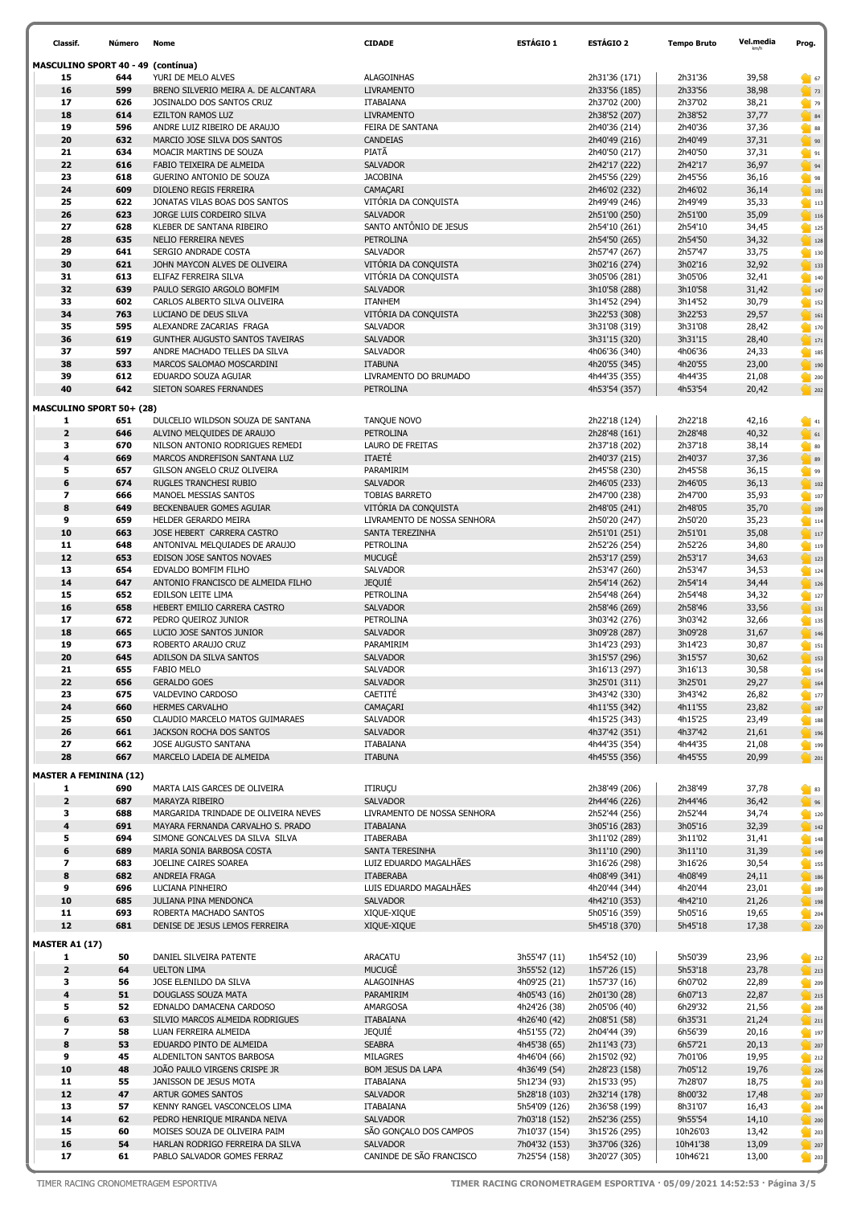| Classif.                           | Número     | Nome                                                             | <b>CIDADE</b>                             | <b>ESTÁGIO 1</b>             | <b>ESTÁGIO 2</b>               | <b>Tempo Bruto</b> | Vel.media      | Prog.                                                                                |
|------------------------------------|------------|------------------------------------------------------------------|-------------------------------------------|------------------------------|--------------------------------|--------------------|----------------|--------------------------------------------------------------------------------------|
| MASCULINO SPORT 40 - 49 (contínua) |            |                                                                  |                                           |                              |                                |                    |                |                                                                                      |
| 15                                 | 644        | YURI DE MELO ALVES                                               | <b>ALAGOINHAS</b>                         |                              | 2h31'36 (171)                  | 2h31'36            | 39,58          | 67                                                                                   |
| 16                                 | 599        | BRENO SILVERIO MEIRA A. DE ALCANTARA                             | <b>LIVRAMENTO</b>                         |                              | 2h33'56 (185)                  | 2h33'56            | 38,98          | $\bigcirc$ 73                                                                        |
| 17                                 | 626        | JOSINALDO DOS SANTOS CRUZ                                        | <b>ITABAIANA</b>                          |                              | 2h37'02 (200)                  | 2h37'02            | 38,21          | 79                                                                                   |
| 18                                 | 614        | <b>EZILTON RAMOS LUZ</b>                                         | <b>LIVRAMENTO</b>                         |                              | 2h38'52 (207)                  | 2h38'52            | 37,77          | 84                                                                                   |
| 19                                 | 596        | ANDRE LUIZ RIBEIRO DE ARAUJO                                     | FEIRA DE SANTANA                          |                              | 2h40'36 (214)                  | 2h40'36            | 37,36          | $\bullet$ 88                                                                         |
| 20                                 | 632        | MARCIO JOSE SILVA DOS SANTOS                                     | CANDEIAS                                  |                              | 2h40'49 (216)                  | 2h40'49            | 37,31          | $\begin{array}{ c c c }\n\hline\n\end{array}$ 90                                     |
| 21                                 | 634        | MOACIR MARTINS DE SOUZA                                          | PIATÃ                                     |                              | 2h40'50 (217)                  | 2h40'50            | 37,31          | $\blacksquare$ 91                                                                    |
| 22                                 | 616        | FABIO TEIXEIRA DE ALMEIDA                                        | <b>SALVADOR</b>                           |                              | 2h42'17 (222)                  | 2h42'17            | 36,97          | $\frac{1}{2}$ 94                                                                     |
| 23                                 | 618        | GUERINO ANTONIO DE SOUZA                                         | <b>JACOBINA</b>                           |                              | 2h45'56 (229)                  | 2h45'56            | 36,16          | 1 98                                                                                 |
| 24                                 | 609        | DIOLENO REGIS FERREIRA                                           | CAMAÇARI                                  |                              | 2h46'02 (232)                  | 2h46'02            | 36,14          | $\begin{array}{ c c c }\n\hline\n\text{101}\n\end{array}$                            |
| 25                                 | 622        | JONATAS VILAS BOAS DOS SANTOS                                    | VITÓRIA DA CONQUISTA                      |                              | 2h49'49 (246)                  | 2h49'49            | 35,33          | $\blacksquare$ 113                                                                   |
| 26                                 | 623        | JORGE LUIS CORDEIRO SILVA                                        | <b>SALVADOR</b>                           |                              | 2h51'00 (250)                  | 2h51'00            | 35,09          | $\frac{1}{2}$ 116                                                                    |
| 27                                 | 628        | KLEBER DE SANTANA RIBEIRO                                        | SANTO ANTÔNIO DE JESUS                    |                              | 2h54'10 (261)                  | 2h54'10            | 34,45          | $\bigcirc$ 125                                                                       |
| 28                                 | 635        | NELIO FERREIRA NEVES                                             | <b>PETROLINA</b>                          |                              | 2h54'50 (265)                  | 2h54'50            | 34,32          | 128                                                                                  |
| 29                                 | 641        | SERGIO ANDRADE COSTA                                             | <b>SALVADOR</b>                           |                              | 2h57'47 (267)                  | 2h57'47            | 33,75          | $\begin{array}{ c c c }\n\hline\n\textbf{130}\n\end{array}$                          |
| 30                                 | 621        | JOHN MAYCON ALVES DE OLIVEIRA                                    | VITÓRIA DA CONQUISTA                      |                              | 3h02'16 (274)                  | 3h02'16            | 32,92          | $\vert$ 133                                                                          |
| 31                                 | 613        | ELIFAZ FERREIRA SILVA                                            | VITÓRIA DA CONQUISTA                      |                              | 3h05'06 (281)                  | 3h05'06            | 32,41          | $\begin{array}{ c c c }\n\hline\n\text{140}\n\end{array}$                            |
| 32                                 | 639        | PAULO SERGIO ARGOLO BOMFIM                                       | <b>SALVADOR</b>                           |                              | 3h10'58 (288)                  | 3h10'58            | 31,42          | $\bigcirc$ 147                                                                       |
| 33                                 | 602        | CARLOS ALBERTO SILVA OLIVEIRA                                    | <b>ITANHEM</b>                            |                              | 3h14'52 (294)                  | 3h14'52            | 30,79          | $\blacksquare$ 152                                                                   |
| 34<br>35                           | 763<br>595 | LUCIANO DE DEUS SILVA                                            | VITÓRIA DA CONQUISTA                      |                              | 3h22'53 (308)                  | 3h22'53            | 29,57          | $\bigcirc$ 161                                                                       |
| 36                                 | 619        | ALEXANDRE ZACARIAS FRAGA                                         | SALVADOR                                  |                              | 3h31'08 (319)                  | 3h31'08            | 28,42          | $\frac{1}{2}$ 170                                                                    |
| 37                                 | 597        | GUNTHER AUGUSTO SANTOS TAVEIRAS<br>ANDRE MACHADO TELLES DA SILVA | <b>SALVADOR</b>                           |                              | 3h31'15 (320)                  | 3h31'15            | 28,40          | $\frac{1}{2}$ 171                                                                    |
| 38                                 | 633        | MARCOS SALOMAO MOSCARDINI                                        | SALVADOR<br><b>ITABUNA</b>                |                              | 4h06'36 (340)                  | 4h06'36            | 24,33          | $\begin{array}{ c c c }\n\hline\n\text{185}\n\end{array}$                            |
| 39                                 | 612        | EDUARDO SOUZA AGUIAR                                             | LIVRAMENTO DO BRUMADO                     |                              | 4h20'55 (345)                  | 4h20'55<br>4h44'35 | 23,00<br>21,08 | 190                                                                                  |
| 40                                 | 642        | SIETON SOARES FERNANDES                                          | <b>PETROLINA</b>                          |                              | 4h44'35 (355)<br>4h53'54 (357) | 4h53'54            | 20,42          | 200<br>202                                                                           |
|                                    |            |                                                                  |                                           |                              |                                |                    |                |                                                                                      |
| <b>MASCULINO SPORT 50+ (28)</b>    |            |                                                                  |                                           |                              |                                |                    |                |                                                                                      |
| 1                                  | 651        | DULCELIO WILDSON SOUZA DE SANTANA                                | TANQUE NOVO                               |                              | 2h22'18 (124)                  | 2h22'18            | 42,16          | $\begin{array}{ c c c }\n\hline\n\text{41}\n\end{array}$                             |
| $\overline{2}$                     | 646        | ALVINO MELQUIDES DE ARAUJO                                       | <b>PETROLINA</b>                          |                              | 2h28'48 (161)                  | 2h28'48            | 40,32          | $\bigcirc$ 61                                                                        |
| з                                  | 670        | NILSON ANTONIO RODRIGUES REMEDI                                  | LAURO DE FREITAS                          |                              | 2h37'18 (202)                  | 2h37'18            | 38,14          | $\bullet$ 80                                                                         |
| 4                                  | 669        | MARCOS ANDREFISON SANTANA LUZ                                    | <b>ITAETÉ</b>                             |                              | 2h40'37 (215)                  | 2h40'37            | 37,36          | $\begin{array}{ c c } \hline \textbf{39} \\ \hline \end{array}$                      |
| 5                                  | 657        | GILSON ANGELO CRUZ OLIVEIRA                                      | PARAMIRIM                                 |                              | 2h45'58 (230)                  | 2h45'58            | 36,15          | 99                                                                                   |
| 6                                  | 674        | RUGLES TRANCHESI RUBIO                                           | <b>SALVADOR</b>                           |                              | 2h46'05 (233)                  | 2h46'05            | 36,13          | $\frac{10}{2}$ 102                                                                   |
| $\overline{\phantom{a}}$           | 666        | MANOEL MESSIAS SANTOS                                            | <b>TOBIAS BARRETO</b>                     |                              | 2h47'00 (238)                  | 2h47'00            | 35,93          | 107                                                                                  |
| 8                                  | 649        | BECKENBAUER GOMES AGUIAR                                         | VITÓRIA DA CONQUISTA                      |                              | 2h48'05 (241)                  | 2h48'05            | 35,70          | $\begin{array}{ c c c c c }\n\hline\n\text{109} & \text{109} \\ \hline\n\end{array}$ |
| 9                                  | 659        | HELDER GERARDO MEIRA                                             | LIVRAMENTO DE NOSSA SENHORA               |                              | 2h50'20 (247)                  | 2h50'20            | 35,23          | $\blacksquare$ 114                                                                   |
| 10                                 | 663        | JOSE HEBERT CARRERA CASTRO                                       | SANTA TEREZINHA                           |                              | 2h51'01 (251)                  | 2h51'01            | 35,08          | $\begin{array}{ c c c }\n\hline\n\text{117}\n\end{array}$                            |
| 11                                 | 648        | ANTONIVAL MELQUIADES DE ARAUJO                                   | PETROLINA                                 |                              | 2h52'26 (254)                  | 2h52'26            | 34,80          | $\begin{array}{ c c c }\n\hline\n\textbf{115}\n\end{array}$                          |
| 12                                 | 653        | EDISON JOSE SANTOS NOVAES                                        | MUCUGÊ                                    |                              | 2h53'17 (259)                  | 2h53'17            | 34,63          | $\frac{1}{2}$ 123                                                                    |
| 13                                 | 654        | EDVALDO BOMFIM FILHO                                             | SALVADOR                                  |                              | 2h53'47 (260)                  | 2h53'47            | 34,53          | $\blacksquare$ 124                                                                   |
| 14                                 | 647        | ANTONIO FRANCISCO DE ALMEIDA FILHO                               | <b>JEQUIÉ</b>                             |                              | 2h54'14 (262)                  | 2h54'14            | 34,44          | 126                                                                                  |
| 15                                 | 652        | EDILSON LEITE LIMA                                               | PETROLINA                                 |                              | 2h54'48 (264)                  | 2h54'48            | 34,32          | $\frac{127}{2}$                                                                      |
| 16<br>17                           | 658        | HEBERT EMILIO CARRERA CASTRO                                     | <b>SALVADOR</b>                           |                              | 2h58'46 (269)                  | 2h58'46            | 33,56          | $\big $ 131                                                                          |
|                                    | 672        | PEDRO QUEIROZ JUNIOR                                             | PETROLINA                                 |                              | 3h03'42 (276)                  | 3h03'42            | 32,66          | $\blacksquare$ 135                                                                   |
| 18                                 | 665        | LUCIO JOSE SANTOS JUNIOR                                         | <b>SALVADOR</b>                           |                              | 3h09'28 (287)                  | 3h09'28            | 31,67          | $\begin{array}{ c c c }\n\hline\n\text{146}\n\end{array}$                            |
| 19<br>20                           | 673<br>645 | ROBERTO ARAUJO CRUZ                                              | PARAMIRIM<br><b>SALVADOR</b>              |                              | 3h14'23 (293)                  | 3h14'23<br>3h15'57 | 30,87          | $\blacksquare$ 151                                                                   |
| 21                                 | 655        | ADILSON DA SILVA SANTOS<br><b>FABIO MELO</b>                     | SALVADOR                                  |                              | 3h15'57 (296)                  | 3h16'13            | 30,62<br>30,58 | $\frac{1}{2}$ 153                                                                    |
| 22                                 | 656        | <b>GERALDO GOES</b>                                              | <b>SALVADOR</b>                           |                              | 3h16'13 (297)                  | 3h25'01            |                | 154                                                                                  |
| 23                                 | 675        | VALDEVINO CARDOSO                                                | CAETITÉ                                   |                              | 3h25'01 (311)<br>3h43'42 (330) | 3h43'42            | 29,27<br>26,82 | 164                                                                                  |
| 24                                 | 660        | <b>HERMES CARVALHO</b>                                           | CAMAÇARI                                  |                              | 4h11'55 (342)                  | 4h11'55            | 23,82          | $\frac{1}{2}$ 177<br> 187                                                            |
| 25                                 | 650        | CLAUDIO MARCELO MATOS GUIMARAES                                  | SALVADOR                                  |                              | 4h15'25 (343)                  | 4h15'25            | 23,49          | $\frac{1}{2}$ 188                                                                    |
| 26                                 | 661        | JACKSON ROCHA DOS SANTOS                                         | <b>SALVADOR</b>                           |                              | 4h37'42 (351)                  | 4h37'42            | 21,61          | $\begin{array}{ c c c }\n\hline\n\text{196}\n\end{array}$                            |
| 27                                 | 662        | JOSE AUGUSTO SANTANA                                             | ITABAIANA                                 |                              | 4h44'35 (354)                  | 4h44'35            | 21,08          | 199                                                                                  |
| 28                                 | 667        | MARCELO LADEIA DE ALMEIDA                                        | <b>ITABUNA</b>                            |                              | 4h45'55 (356)                  | 4h45'55            | 20,99          | $\frac{1}{201}$ 201                                                                  |
|                                    |            |                                                                  |                                           |                              |                                |                    |                |                                                                                      |
| <b>MASTER A FEMININA (12)</b>      |            |                                                                  |                                           |                              |                                |                    |                |                                                                                      |
| 1                                  | 690        | MARTA LAIS GARCES DE OLIVEIRA                                    | ITIRUÇU                                   |                              | 2h38'49 (206)                  | 2h38'49            | 37,78          | $\begin{array}{ c c }\n\hline\n\end{array}$ 83                                       |
| $\overline{\mathbf{2}}$            | 687        | MARAYZA RIBEIRO                                                  | <b>SALVADOR</b>                           |                              | 2h44'46 (226)                  | 2h44'46            | 36,42          | 96                                                                                   |
| 3                                  | 688        | MARGARIDA TRINDADE DE OLIVEIRA NEVES                             | LIVRAMENTO DE NOSSA SENHORA               |                              | 2h52'44 (256)                  | 2h52'44            | 34,74          | $\bigcup_{i=1}^{\infty} 120$                                                         |
| 4                                  | 691        | MAYARA FERNANDA CARVALHO S. PRADO                                | <b>ITABAIANA</b>                          |                              | 3h05'16 (283)                  | 3h05'16            | 32,39          | $\begin{array}{ c c c }\n\hline\n\end{array}$ 142                                    |
| 5<br>6                             | 694        | SIMONE GONCALVES DA SILVA SILVA                                  | <b>ITABERABA</b>                          |                              | 3h11'02 (289)                  | 3h11'02            | 31,41          | 148                                                                                  |
| $\overline{\phantom{a}}$           | 689<br>683 | MARIA SONIA BARBOSA COSTA<br>JOELINE CAIRES SOAREA               | SANTA TERESINHA<br>LUIZ EDUARDO MAGALHÃES |                              | 3h11'10 (290)                  | 3h11'10<br>3h16'26 | 31,39<br>30,54 | $\begin{array}{ c c c }\n\hline\n\text{149}\n\end{array}$                            |
| 8                                  | 682        | ANDREIA FRAGA                                                    | <b>ITABERABA</b>                          |                              | 3h16'26 (298)<br>4h08'49 (341) | 4h08'49            | 24,11          | $\blacksquare$ 155                                                                   |
| 9                                  | 696        | LUCIANA PINHEIRO                                                 | LUIS EDUARDO MAGALHÃES                    |                              | 4h20'44 (344)                  | 4h20'44            | 23,01          | $\frac{1}{2}$ 186                                                                    |
| 10                                 | 685        | JULIANA PINA MENDONCA                                            | <b>SALVADOR</b>                           |                              | 4h42'10 (353)                  | 4h42'10            | 21,26          | 189                                                                                  |
| 11                                 | 693        | ROBERTA MACHADO SANTOS                                           | XIQUE-XIQUE                               |                              | 5h05'16 (359)                  | 5h05'16            | 19,65          | $\frac{1}{2}$ 198<br>204                                                             |
| 12                                 | 681        | DENISE DE JESUS LEMOS FERREIRA                                   | XIQUE-XIQUE                               |                              | 5h45'18 (370)                  | 5h45'18            | 17,38          | 220                                                                                  |
|                                    |            |                                                                  |                                           |                              |                                |                    |                |                                                                                      |
| <b>MASTER A1 (17)</b>              |            |                                                                  |                                           |                              |                                |                    |                |                                                                                      |
| 1                                  | 50         | DANIEL SILVEIRA PATENTE                                          | ARACATU                                   | 3h55'47 (11)                 | 1h54'52 (10)                   | 5h50'39            | 23,96          | 212                                                                                  |
| $\overline{2}$                     | 64         | <b>UELTON LIMA</b>                                               | MUCUGÊ                                    | 3h55'52 (12)                 | 1h57'26 (15)                   | 5h53'18            | 23,78          | $\frac{1}{213}$                                                                      |
| з                                  | 56         | JOSE ELENILDO DA SILVA                                           | ALAGOINHAS                                | 4h09'25 (21)                 | 1h57'37 (16)                   | 6h07'02            | 22,89          | 205                                                                                  |
| 4                                  | 51         | DOUGLASS SOUZA MATA                                              | PARAMIRIM                                 | 4h05'43 (16)                 | 2h01'30 (28)                   | 6h07'13            | 22,87          | 215                                                                                  |
| 5                                  | 52         | EDNALDO DAMACENA CARDOSO                                         | AMARGOSA                                  | 4h24'26 (38)                 | 2h05'06 (40)                   | 6h29'32            | 21,56          | 208                                                                                  |
| 6                                  | 63         | SILVIO MARCOS ALMEIDA RODRIGUES                                  | <b>ITABAIANA</b>                          | 4h26'40 (42)                 | 2h08'51 (58)                   | 6h35'31            | 21,24          | $\frac{1}{2}$ 211                                                                    |
| $\overline{\phantom{a}}$           | 58         | LUAN FERREIRA ALMEIDA                                            | <b>JEQUIE</b>                             | 4h51'55 (72)                 | 2h04'44 (39)                   | 6h56'39            | 20,16          | $\blacksquare$ 197                                                                   |
| 8<br>9                             | 53         | EDUARDO PINTO DE ALMEIDA<br>ALDENILTON SANTOS BARBOSA            | <b>SEABRA</b><br><b>MILAGRES</b>          | 4h45'38 (65)                 | 2h11'43 (73)                   | 6h57'21            | 20,13          | 207                                                                                  |
| 10                                 | 45<br>48   | JOÃO PAULO VIRGENS CRISPE JR                                     | BOM JESUS DA LAPA                         | 4h46'04 (66)<br>4h36'49 (54) | 2h15'02 (92)<br>2h28'23 (158)  | 7h01'06<br>7h05'12 | 19,95<br>19,76 | 212<br>$\bigcirc$ 226                                                                |
| 11                                 | 55         | JANISSON DE JESUS MOTA                                           | <b>ITABAIANA</b>                          | 5h12'34 (93)                 | 2h15'33 (95)                   | 7h28'07            | 18,75          | 203                                                                                  |
| 12                                 | 47         | ARTUR GOMES SANTOS                                               | <b>SALVADOR</b>                           | 5h28'18 (103)                | 2h32'14 (178)                  | 8h00'32            | 17,48          | $\frac{1}{2}$ 207                                                                    |
| 13                                 | 57         | KENNY RANGEL VASCONCELOS LIMA                                    | ITABAIANA                                 | 5h54'09 (126)                | 2h36'58 (199)                  | 8h31'07            | 16,43          | 204                                                                                  |
| 14                                 | 62         | PEDRO HENRIQUE MIRANDA NEIVA                                     | <b>SALVADOR</b>                           | 7h03'18 (152)                | 2h52'36 (255)                  | 9h55'54            | 14,10          | $\frac{1}{200}$                                                                      |
| 15                                 | 60         | MOISES SOUZA DE OLIVEIRA PAIM                                    | SÃO GONÇALO DOS CAMPOS                    | 7h10'37 (154)                | 3h15'26 (295)                  | 10h26'03           | 13,42          | 203                                                                                  |
| 16                                 | 54         | HARLAN RODRIGO FERREIRA DA SILVA                                 | <b>SALVADOR</b>                           | 7h04'32 (153)                | 3h37'06 (326)                  | 10h41'38           | 13,09          | $\overline{\phantom{1}}$ 207                                                         |
| 17                                 | 61         | PABLO SALVADOR GOMES FERRAZ                                      | CANINDE DE SÃO FRANCISCO                  | 7h25'54 (158)                | 3h20'27 (305)                  | 10h46'21           | 13,00          | 203                                                                                  |

TIMER RACING CRONOMETRAGEM ESPORTIVA TIMER RACING CRONOMETRAGEM ESPORTIVA · 05/09/2021 14:52:53 · Página 3/5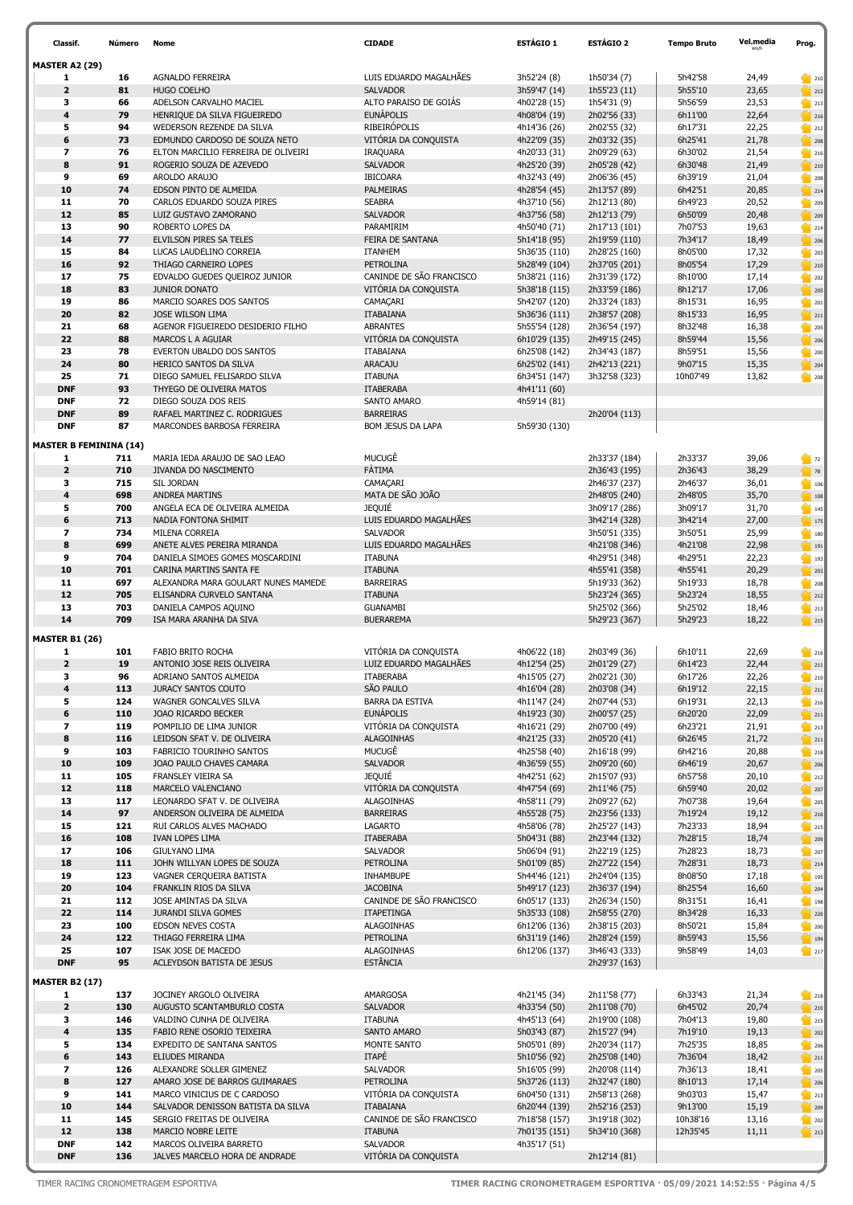| Classif.                      | Número     | Nome                                                            | <b>CIDADE</b>                           | ESTÁGIO 1                      | <b>ESTÁGIO 2</b>               | <b>Tempo Bruto</b> | Vel.media      | Prog.                                                                         |
|-------------------------------|------------|-----------------------------------------------------------------|-----------------------------------------|--------------------------------|--------------------------------|--------------------|----------------|-------------------------------------------------------------------------------|
| <b>MASTER A2 (29)</b>         |            |                                                                 |                                         |                                |                                |                    |                |                                                                               |
| 1                             | 16         | AGNALDO FERREIRA                                                | LUIS EDUARDO MAGALHÃES                  | 3h52'24 (8)                    | 1h50'34 (7)                    | 5h42'58            | 24,49          | 210                                                                           |
| $\overline{\mathbf{2}}$       | 81         | <b>HUGO COELHO</b>                                              | <b>SALVADOR</b>                         | 3h59'47 (14)                   | 1h55'23 (11)                   | 5h55'10            | 23,65          | $\bigcirc$ 212                                                                |
| 3                             | 66         | ADELSON CARVALHO MACIEL                                         | ALTO PARAISO DE GOIÁS                   | 4h02'28 (15)                   | 1h54'31 (9)                    | 5h56'59            | 23,53          | 213                                                                           |
| $\overline{\mathbf{4}}$       | 79         | HENRIQUE DA SILVA FIGUEIREDO                                    | <b>EUNÁPOLIS</b>                        | 4h08'04 (19)                   | 2h02'56 (33)                   | 6h11'00            | 22,64          | $\frac{1}{2}$ 216                                                             |
| 5                             | 94         | WEDERSON REZENDE DA SILVA                                       | <b>RIBEIRÓPOLIS</b>                     | 4h14'36 (26)                   | 2h02'55 (32)                   | 6h17'31            | 22,25          | 212                                                                           |
| 6                             | 73         | EDMUNDO CARDOSO DE SOUZA NETO                                   | VITÓRIA DA CONQUISTA                    | 4h22'09 (35)                   | 2h03'32 (35)                   | 6h25'41            | 21,78          | 208                                                                           |
| $\overline{\phantom{a}}$<br>8 | 76<br>91   | ELTON MARCILIO FERREIRA DE OLIVEIRI<br>ROGERIO SOUZA DE AZEVEDO | <b>IRAQUARA</b><br><b>SALVADOR</b>      | 4h20'33 (31)<br>4h25'20 (39)   | 2h09'29 (63)                   | 6h30'02<br>6h30'48 | 21,54<br>21,49 | 216                                                                           |
| 9                             | 69         | AROLDO ARAUJO                                                   | <b>IBICOARA</b>                         | 4h32'43 (49)                   | 2h05'28 (42)<br>2h06'36 (45)   | 6h39'19            | 21,04          | $\frac{1}{210}$<br>208                                                        |
| 10                            | 74         | EDSON PINTO DE ALMEIDA                                          | PALMEIRAS                               | 4h28'54 (45)                   | 2h13'57 (89)                   | 6h42'51            | 20,85          | $\frac{1}{214}$                                                               |
| 11                            | 70         | CARLOS EDUARDO SOUZA PIRES                                      | <b>SEABRA</b>                           | 4h37'10 (56)                   | 2h12'13 (80)                   | 6h49'23            | 20,52          | 205                                                                           |
| 12                            | 85         | LUIZ GUSTAVO ZAMORANO                                           | <b>SALVADOR</b>                         | 4h37'56 (58)                   | 2h12'13 (79)                   | 6h50'09            | 20,48          | 209                                                                           |
| 13                            | 90         | ROBERTO LOPES DA                                                | PARAMIRIM                               | 4h50'40 (71)                   | 2h17'13 (101)                  | 7h07'53            | 19,63          | 214                                                                           |
| 14                            | 77         | ELVILSON PIRES SA TELES                                         | FEIRA DE SANTANA                        | 5h14'18 (95)                   | 2h19'59 (110)                  | 7h34'17            | 18,49          | 206                                                                           |
| 15                            | 84         | LUCAS LAUDELINO CORREIA                                         | <b>ITANHEM</b>                          | 5h36'35 (110)                  | 2h28'25 (160)                  | 8h05'00            | 17,32          | 203                                                                           |
| 16                            | 92         | THIAGO CARNEIRO LOPES                                           | <b>PETROLINA</b>                        | 5h28'49 (104)                  | 2h37'05 (201)                  | 8h05'54            | 17,29          | 210                                                                           |
| 17                            | 75         | EDVALDO GUEDES QUEIROZ JUNIOR                                   | CANINDE DE SÃO FRANCISCO                | 5h38'21 (116)                  | 2h31'39 (172)                  | 8h10'00            | 17,14          | 202                                                                           |
| 18<br>19                      | 83<br>86   | JUNIOR DONATO<br>MARCIO SOARES DOS SANTOS                       | VITÓRIA DA CONQUISTA<br>CAMAÇARI        | 5h38'18 (115)<br>5h42'07 (120) | 2h33'59 (186)                  | 8h12'17<br>8h15'31 | 17,06<br>16,95 | 205                                                                           |
| 20                            | 82         | JOSE WILSON LIMA                                                | <b>ITABAIANA</b>                        | 5h36'36 (111)                  | 2h33'24 (183)<br>2h38'57 (208) | 8h15'33            | 16,95          | 201<br>$\Big $ 211                                                            |
| 21                            | 68         | AGENOR FIGUEIREDO DESIDERIO FILHO                               | <b>ABRANTES</b>                         | 5h55'54 (128)                  | 2h36'54 (197)                  | 8h32'48            | 16,38          | 205                                                                           |
| 22                            | 88         | MARCOS L A AGUIAR                                               | VITÓRIA DA CONQUISTA                    | 6h10'29 (135)                  | 2h49'15 (245)                  | 8h59'44            | 15,56          | $\bigcirc$ 206                                                                |
| 23                            | 78         | EVERTON UBALDO DOS SANTOS                                       | <b>ITABAIANA</b>                        | 6h25'08 (142)                  | 2h34'43 (187)                  | 8h59'51            | 15,56          | 200                                                                           |
| 24                            | 80         | HERICO SANTOS DA SILVA                                          | ARACAJU                                 | 6h25'02 (141)                  | 2h42'13 (221)                  | 9h07'15            | 15,35          | $\sim$ 204                                                                    |
| 25                            | 71         | DIEGO SAMUEL FELISARDO SILVA                                    | <b>ITABUNA</b>                          | 6h34'51 (147)                  | 3h32'58 (323)                  | 10h07'49           | 13,82          | 208                                                                           |
| <b>DNF</b>                    | 93         | THYEGO DE OLIVEIRA MATOS                                        | <b>ITABERABA</b>                        | 4h41'11 (60)                   |                                |                    |                |                                                                               |
| <b>DNF</b>                    | 72         | DIEGO SOUZA DOS REIS                                            | SANTO AMARO                             | 4h59'14 (81)                   |                                |                    |                |                                                                               |
| <b>DNF</b>                    | 89         | RAFAEL MARTINEZ C. RODRIGUES                                    | <b>BARREIRAS</b>                        |                                | 2h20'04 (113)                  |                    |                |                                                                               |
| <b>DNF</b>                    | 87         | MARCONDES BARBOSA FERREIRA                                      | BOM JESUS DA LAPA                       | 5h59'30 (130)                  |                                |                    |                |                                                                               |
| <b>MASTER B FEMININA (14)</b> |            |                                                                 |                                         |                                |                                |                    |                |                                                                               |
| 1                             | 711        | MARIA IEDA ARAUJO DE SAO LEAO                                   | MUCUGÊ                                  |                                | 2h33'37 (184)                  | 2h33'37            | 39,06          | $\frac{1}{2}$ 72                                                              |
| $\overline{2}$                | 710        | JIVANDA DO NASCIMENTO                                           | FÁTIMA                                  |                                | 2h36'43 (195)                  | 2h36'43            | 38,29          | $\begin{array}{ c c }\n\hline\n\end{array}$ 78                                |
| 3                             | 715        | SIL JORDAN                                                      | CAMAÇARI                                |                                | 2h46'37 (237)                  | 2h46'37            | 36,01          | $\begin{array}{ c c c }\n\hline\n\text{106}\n\end{array}$                     |
| $\overline{\mathbf{4}}$       | 698        | <b>ANDREA MARTINS</b>                                           | MATA DE SÃO JOÃO                        |                                | 2h48'05 (240)                  | 2h48'05            | 35,70          | 108                                                                           |
| 5<br>6                        | 700<br>713 | ANGELA ECA DE OLIVEIRA ALMEIDA<br>NADIA FONTONA SHIMIT          | <b>JEQUIE</b><br>LUIS EDUARDO MAGALHÃES |                                | 3h09'17 (286)<br>3h42'14 (328) | 3h09'17<br>3h42'14 | 31,70<br>27,00 | $\begin{array}{ c c c }\n\hline\n\textbf{145}\n\end{array}$<br>$\bigcirc$ 175 |
| $\overline{\phantom{a}}$      | 734        | MILENA CORREIA                                                  | <b>SALVADOR</b>                         |                                | 3h50'51 (335)                  | 3h50'51            | 25,99          | $\begin{array}{ c c c }\n\hline\n\textbf{180}\n\end{array}$                   |
| 8                             | 699        | ANETE ALVES PEREIRA MIRANDA                                     | LUIS EDUARDO MAGALHÃES                  |                                | 4h21'08 (346)                  | 4h21'08            | 22,98          | 191                                                                           |
| 9                             | 704        | DANIELA SIMOES GOMES MOSCARDINI                                 | <b>ITABUNA</b>                          |                                | 4h29'51 (348)                  | 4h29'51            | 22,23          | $\blacksquare$ 193                                                            |
| 10                            | 701        | CARINA MARTINS SANTA FE                                         | <b>ITABUNA</b>                          |                                | 4h55'41 (358)                  | 4h55'41            | 20,29          | $\frac{1}{203}$                                                               |
| 11                            | 697        | ALEXANDRA MARA GOULART NUNES MAMEDE                             | <b>BARREIRAS</b>                        |                                | 5h19'33 (362)                  | 5h19'33            | 18,78          | 208                                                                           |
| 12                            | 705        | ELISANDRA CURVELO SANTANA                                       | <b>ITABUNA</b>                          |                                | 5h23'24 (365)                  | 5h23'24            | 18,55          | 212                                                                           |
| 13                            | 703        | DANIELA CAMPOS AQUINO                                           | <b>GUANAMBI</b>                         |                                | 5h25'02 (366)                  | 5h25'02            | 18,46          | 213                                                                           |
| 14                            | 709        | ISA MARA ARANHA DA SIVA                                         | <b>BUERAREMA</b>                        |                                | 5h29'23 (367)                  | 5h29'23            | 18,22          | 215                                                                           |
| <b>MASTER B1 (26)</b>         |            |                                                                 |                                         |                                |                                |                    |                |                                                                               |
| 1                             | 101        | <b>FABIO BRITO ROCHA</b>                                        | VITÓRIA DA CONQUISTA                    | 4h06'22 (18)                   | 2h03'49 (36)                   | 6h10'11            | 22,69          | 216                                                                           |
| $\overline{2}$                | 19         | ANTONIO JOSE REIS OLIVEIRA                                      | LUIZ EDUARDO MAGALHÃES                  | 4h12'54 (25)                   | 2h01'29 (27)                   | 6h14'23            | 22,44          | $\sim$ 211                                                                    |
| з                             | 96         | ADRIANO SANTOS ALMEIDA                                          | <b>ITABERABA</b>                        | 4h15'05 (27)                   | 2h02'21 (30)                   | 6h17'26            | 22,26          | 210                                                                           |
| 4<br>5                        | 113        | JURACY SANTOS COUTO                                             | SÃO PAULO<br><b>BARRA DA ESTIVA</b>     | 4h16'04 (28)                   | 2h03'08 (34)                   | 6h19'12            | 22,15          | $\overline{\phantom{a}}$ 211                                                  |
| 6                             | 124<br>110 | WAGNER GONCALVES SILVA<br>JOAO RICARDO BECKER                   | <b>EUNÁPOLIS</b>                        | 4h11'47 (24)<br>4h19'23 (30)   | 2h07'44 (53)<br>2h00'57 (25)   | 6h19'31<br>6h20'20 | 22,13<br>22,09 | 216                                                                           |
| $\overline{\mathbf{z}}$       | 119        | POMPILIO DE LIMA JUNIOR                                         | VITÓRIA DA CONQUISTA                    | 4h16'21 (29)                   | 2h07'00 (49)                   | 6h23'21            | 21,91          | $\frac{1}{211}$<br>213                                                        |
| 8                             | 116        | LEIDSON SFAT V. DE OLIVEIRA                                     | <b>ALAGOINHAS</b>                       | 4h21'25 (33)                   | 2h05'20 (41)                   | 6h26'45            | 21,72          | $\frac{1}{2}$ 211                                                             |
| 9                             | 103        | FABRICIO TOURINHO SANTOS                                        | MUCUGÊ                                  | 4h25'58 (40)                   | 2h16'18 (99)                   | 6h42'16            | 20,88          | 218                                                                           |
| 10                            | 109        | JOAO PAULO CHAVES CAMARA                                        | SALVADOR                                | 4h36'59 (55)                   | 2h09'20 (60)                   | 6h46'19            | 20,67          | 206                                                                           |
| 11                            | 105        | FRANSLEY VIEIRA SA                                              | <b>JEQUIÉ</b>                           | 4h42'51 (62)                   | 2h15'07 (93)                   | 6h57'58            | 20,10          | 212                                                                           |
| 12                            | 118        | MARCELO VALENCIANO                                              | VITÓRIA DA CONQUISTA                    | 4h47'54 (69)                   | 2h11'46 (75)                   | 6h59'40            | 20,02          | 207                                                                           |
| 13                            | 117        | LEONARDO SFAT V. DE OLIVEIRA                                    | ALAGOINHAS                              | 4h58'11 (79)                   | 2h09'27 (62)                   | 7h07'38            | 19,64          | 205                                                                           |
| 14                            | 97         | ANDERSON OLIVEIRA DE ALMEIDA                                    | <b>BARREIRAS</b>                        | 4h55'28 (75)<br>4h58'06 (78)   | 2h23'56 (133)<br>2h25'27 (143) | 7h19'24            | 19,12          | 216                                                                           |
| 15<br>16                      | 121<br>108 | RUI CARLOS ALVES MACHADO<br>IVAN LOPES LIMA                     | LAGARTO<br><b>ITABERABA</b>             | 5h04'31 (88)                   | 2h23'44 (132)                  | 7h23'33<br>7h28'15 | 18,94<br>18,74 | 215<br>209                                                                    |
| 17                            | 106        | <b>GIULYANO LIMA</b>                                            | <b>SALVADOR</b>                         | 5h06'04 (91)                   | 2h22'19 (125)                  | 7h28'23            | 18,73          | 207                                                                           |
| 18                            | 111        | JOHN WILLYAN LOPES DE SOUZA                                     | <b>PETROLINA</b>                        | 5h01'09 (85)                   | 2h27'22 (154)                  | 7h28'31            | 18,73          | 214                                                                           |
| 19                            | 123        | VAGNER CERQUEIRA BATISTA                                        | INHAMBUPE                               | 5h44'46 (121)                  | 2h24'04 (135)                  | 8h08'50            | 17,18          | $\begin{array}{ c c c }\n\hline\n\textbf{195}\n\end{array}$                   |
| 20                            | 104        | FRANKLIN RIOS DA SILVA                                          | <b>JACOBINA</b>                         | 5h49'17 (123)                  | 2h36'37 (194)                  | 8h25'54            | 16,60          | $\sim$ 204                                                                    |
| 21                            | 112        | JOSE AMINTAS DA SILVA                                           | CANINDE DE SÃO FRANCISCO                | 6h05'17 (133)                  | 2h26'34 (150)                  | 8h31'51            | 16,41          | $\frac{1}{2}$ 198                                                             |
| 22                            | 114        | JURANDI SILVA GOMES                                             | <b>ITAPETINGA</b>                       | 5h35'33 (108)                  | 2h58'55 (270)                  | 8h34'28            | 16,33          | $\frac{1}{2}$ 226                                                             |
| 23                            | 100        | EDSON NEVES COSTA                                               | ALAGOINHAS                              | 6h12'06 (136)                  | 2h38'15 (203)                  | 8h50'21            | 15,84          | 200                                                                           |
| 24                            | 122        | THIAGO FERREIRA LIMA                                            | PETROLINA                               | 6h31'19 (146)                  | 2h28'24 (159)                  | 8h59'43            | 15,56          | $\begin{array}{ c c c }\n\hline\n\text{194}\n\end{array}$                     |
| 25<br><b>DNF</b>              | 107<br>95  | ISAK JOSE DE MACEDO<br>ACLEYDSON BATISTA DE JESUS               | ALAGOINHAS<br><b>ESTÂNCIA</b>           | 6h12'06 (137)                  | 3h46'43 (333)<br>2h29'37 (163) | 9h58'49            | 14,03          | 217                                                                           |
|                               |            |                                                                 |                                         |                                |                                |                    |                |                                                                               |
| <b>MASTER B2 (17)</b>         |            |                                                                 |                                         |                                |                                |                    |                |                                                                               |
| $\mathbf{1}$                  | 137        | JOCINEY ARGOLO OLIVEIRA                                         | AMARGOSA                                | 4h21'45 (34)                   | 2h11'58 (77)                   | 6h33'43            | 21,34          | 218                                                                           |
| $\overline{\mathbf{2}}$       | 130        | AUGUSTO SCANTAMBURLO COSTA                                      | <b>SALVADOR</b>                         | 4h33'54 (50)                   | 2h11'08 (70)                   | 6h45'02            | 20,74          | $\frac{1}{2}$ 210                                                             |
| 3<br>$\boldsymbol{4}$         | 146<br>135 | VALDINO CUNHA DE OLIVEIRA<br>FABIO RENE OSORIO TEIXEIRA         | <b>ITABUNA</b><br>SANTO AMARO           | 4h45'13 (64)<br>5h03'43 (87)   | 2h19'00 (108)<br>2h15'27 (94)  | 7h04'13<br>7h19'10 | 19,80<br>19,13 | 215                                                                           |
| 5                             | 134        | EXPEDITO DE SANTANA SANTOS                                      | MONTE SANTO                             | 5h05'01 (89)                   | 2h20'34 (117)                  | 7h25'35            | 18,85          | 202<br>206                                                                    |
| 6                             | 143        | ELIUDES MIRANDA                                                 | <b>ITAPÉ</b>                            | 5h10'56 (92)                   | 2h25'08 (140)                  | 7h36'04            | 18,42          | $\frac{1}{211}$                                                               |
| 7                             | 126        | ALEXANDRE SOLLER GIMENEZ                                        | SALVADOR                                | 5h16'05 (99)                   | 2h20'08 (114)                  | 7h36'13            | 18,41          | 205                                                                           |
| 8                             | 127        | AMARO JOSE DE BARROS GUIMARAES                                  | <b>PETROLINA</b>                        | 5h37'26 (113)                  | 2h32'47 (180)                  | 8h10'13            | 17,14          | 206                                                                           |
| 9                             | 141        | MARCO VINICIUS DE C CARDOSO                                     | VITÓRIA DA CONQUISTA                    | 6h04'50 (131)                  | 2h58'13 (268)                  | 9h03'03            | 15,47          | 213                                                                           |
| 10                            | 144        | SALVADOR DENISSON BATISTA DA SILVA                              | <b>ITABAIANA</b>                        | 6h20'44 (139)                  | 2h52'16 (253)                  | 9h13'00            | 15,19          | 209                                                                           |
| 11                            | 145        | SERGIO FREITAS DE OLIVEIRA                                      | CANINDE DE SÃO FRANCISCO                | 7h18'58 (157)                  | 3h19'18 (302)                  | 10h38'16           | 13,16          | 202                                                                           |
| 12                            | 138        | MARCIO NOBRE LEITE                                              | <b>ITABUNA</b>                          | 7h01'35 (151)                  | 5h34'10 (368)                  | 12h35'45           | 11,11          | $\frac{1}{2}$ 213                                                             |
| <b>DNF</b><br><b>DNF</b>      | 142<br>136 | MARCOS OLIVEIRA BARRETO<br>JALVES MARCELO HORA DE ANDRADE       | SALVADOR<br>VITÓRIA DA CONQUISTA        | 4h35'17 (51)                   | 2h12'14 (81)                   |                    |                |                                                                               |
|                               |            |                                                                 |                                         |                                |                                |                    |                |                                                                               |

TIMER RACING CRONOMETRAGEM ESPORTIVA TIMER RACING CRONOMETRAGEM ESPORTIVA · 05/09/2021 14:52:55 · Página 4/5